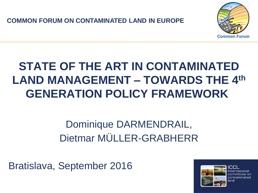**COMMON FORUM ON CONTAMINATED LAND IN EUROPE**



# **STATE OF THE ART IN CONTAMINATED LAND MANAGEMENT – TOWARDS THE 4th GENERATION POLICY FRAMEWORK**

### Dominique DARMENDRAIL, Dietmar MÜLLER-GRABHERR

Bratislava, September 2016

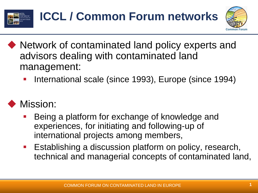



- ◆ Network of contaminated land policy experts and advisors dealing with contaminated land management:
	- International scale (since 1993), Europe (since 1994)

### Mission:

- Being a platform for exchange of knowledge and experiences, for initiating and following-up of international projects among members,
- Establishing a discussion platform on policy, research, technical and managerial concepts of contaminated land,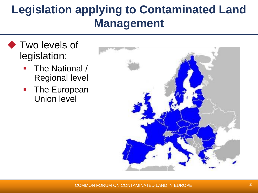## **Legislation applying to Contaminated Land Management**

- ◆ Two levels of legislation:
	- The National / Regional level
	- **The European** Union level

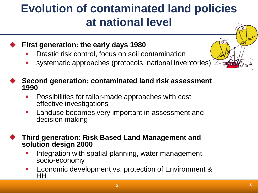### **Evolution of contaminated land policies at national level**

- **First generation: the early days 1980**
	- Drastic risk control, focus on soil contamination
	- systematic approaches (protocols, national inventories)

#### **Second generation: contaminated land risk assessment 1990**

- Possibilities for tailor-made approaches with cost effective investigations
- **Landuse becomes very important in assessment and** decision making

 **Third generation: Risk Based Land Management and solution design 2000**

- Integration with spatial planning, water management, socio-economy
- Economic development vs. protection of Environment & HH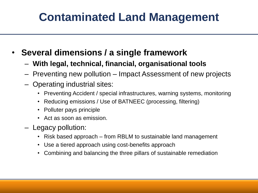# **Contaminated Land Management**

- **Several dimensions / a single framework**
	- **With legal, technical, financial, organisational tools**
	- Preventing new pollution Impact Assessment of new projects
	- Operating industrial sites:
		- Preventing Accident / special infrastructures, warning systems, monitoring
		- Reducing emissions / Use of BATNEEC (processing, filtering)
		- Polluter pays principle
		- Act as soon as emission.
	- Legacy pollution:
		- Risk based approach from RBLM to sustainable land management
		- Use a tiered approach using cost-benefits approach
		- Combining and balancing the three pillars of sustainable remediation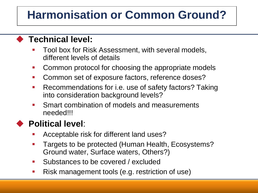# **Harmonisation or Common Ground?**

#### **Technical level:**

- Tool box for Risk Assessment, with several models, different levels of details
- Common protocol for choosing the appropriate models
- Common set of exposure factors, reference doses?
- Recommendations for i.e. use of safety factors? Taking into consideration background levels?
- **Smart combination of models and measurements** needed!!!

#### **Political level**:

- Acceptable risk for different land uses?
- Targets to be protected (Human Health, Ecosystems? Ground water, Surface waters, Others?)
- Substances to be covered / excluded
- Risk management tools (e.g. restriction of use)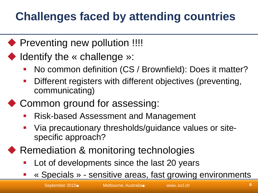# **Challenges faced by attending countries**

- ◆ Preventing new pollution !!!!
- ◆ Identify the « challenge »:
	- No common definition (CS / Brownfield): Does it matter?
	- Different registers with different objectives (preventing, communicating)
- ◆ Common ground for assessing:
	- Risk-based Assessment and Management
	- Via precautionary thresholds/guidance values or sitespecific approach?
- Remediation & monitoring technologies
	- Lot of developments since the last 20 years
	- « Specials » sensitive areas, fast growing environments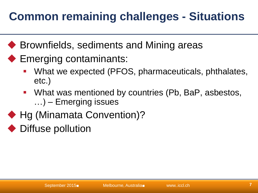# **Common remaining challenges - Situations**

- ◆ Brownfields, sediments and Mining areas
- ◆ Emerging contaminants:
	- What we expected (PFOS, pharmaceuticals, phthalates, etc.)
	- What was mentioned by countries (Pb, BaP, asbestos, …) – Emerging issues
- ◆ Hg (Minamata Convention)?
- Diffuse pollution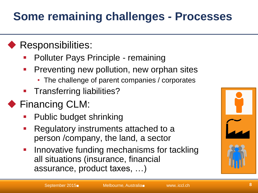### **Some remaining challenges - Processes**

#### **Responsibilities:**

- Polluter Pays Principle remaining
- **Preventing new pollution, new orphan sites** 
	- The challenge of parent companies / corporates
- Transferring liabilities?

### ◆ Financing CLM:

- Public budget shrinking
- Regulatory instruments attached to a person /company, the land, a sector
- **Innovative funding mechanisms for tackling** all situations (insurance, financial assurance, product taxes, …)

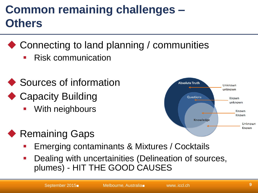### **Common remaining challenges – Others**

- ◆ Connecting to land planning / communities
	- Risk communication
- ◆ Sources of information
- ◆ Capacity Building
	- With neighbours



- ◆ Remaining Gaps
	- Emerging contaminants & Mixtures / Cocktails
	- Dealing with uncertainities (Delineation of sources, plumes) - HIT THE GOOD CAUSES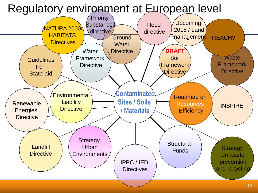### Regulatory environment at European level

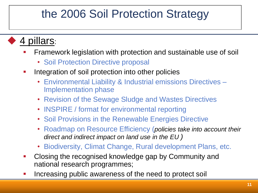### the 2006 Soil Protection Strategy

- 4 pillars:
	- Framework legislation with protection and sustainable use of soil
		- Soil Protection Directive proposal
	- **Integration of soil protection into other policies** 
		- Environmental Liability & Industrial emissions Directives Implementation phase
		- Revision of the Sewage Sludge and Wastes Directives
		- INSPIRE / format for environmental reporting
		- Soil Provisions in the Renewable Energies Directive
		- Roadmap on Resource Efficiency (*policies take into account their direct and indirect impact on land use in the EU )*
		- Biodiversity, Climat Change, Rural development Plans, etc.
	- Closing the recognised knowledge gap by Community and national research programmes;
	- Increasing public awareness of the need to protect soil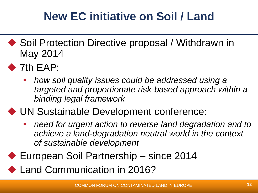# **New EC initiative on Soil / Land**

- ◆ Soil Protection Directive proposal / Withdrawn in May 2014
- $\blacktriangleright$  7th EAP:
	- *how soil quality issues could be addressed using a targeted and proportionate risk-based approach within a binding legal framework*

### UN Sustainable Development conference:

- *need for urgent action to reverse land degradation and to achieve a land-degradation neutral world in the context of sustainable development*
- ◆ European Soil Partnership since 2014
- ◆ Land Communication in 2016?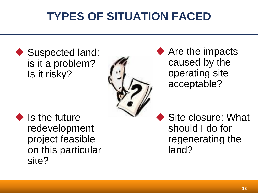# **TYPES OF SITUATION FACED**

◆ Suspected land: is it a problem? Is it risky?



◆ Are the impacts caused by the operating site acceptable?

 $\bullet$  Is the future redevelopment project feasible on this particular site?

Site closure: What should I do for regenerating the land?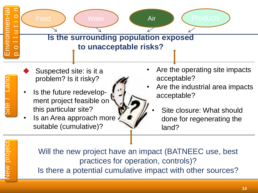

- Suspected site: is it a problem? Is it risky?
- Is the future redevelop-<br> $\begin{bmatrix} 1 & 1 \\ 1 & 1 \end{bmatrix}$  acceptable? ment project feasible on this particular site?
- Is an Area approach more suitable (cumulative)?
- Are the operating site impacts acceptable?
- Are the industrial area impacts
	- Site closure: What should done for regenerating the land?

ew project

Site /

 $\sqrt{a}$ 

Will the new project have an impact (BATNEEC use, best practices for operation, controls)? Is there a potential cumulative impact with other sources?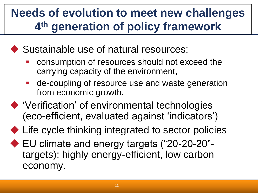### **Needs of evolution to meet new challenges 4 th generation of policy framework**

### ◆ Sustainable use of natural resources:

- consumption of resources should not exceed the carrying capacity of the environment,
- de-coupling of resource use and waste generation from economic growth.
- 'Verification' of environmental technologies (eco-efficient, evaluated against 'indicators')
- ◆ Life cycle thinking integrated to sector policies
- ◆ EU climate and energy targets ("20-20-20"targets): highly energy-efficient, low carbon economy.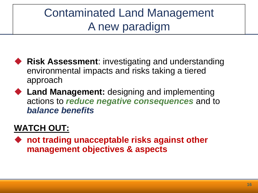### Contaminated Land Management A new paradigm

- ◆ Risk Assessment: investigating and understanding environmental impacts and risks taking a tiered approach
- ◆ Land Management: designing and implementing actions to *reduce negative consequences* and to *balance benefits*

#### **WATCH OUT:**

◆ not trading unacceptable risks against other **management objectives & aspects**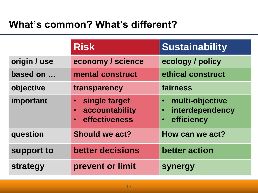### **What's common? What's different?**

|              | <b>Risk</b>                                                                             | <b>Sustainability</b>                                                                   |
|--------------|-----------------------------------------------------------------------------------------|-----------------------------------------------------------------------------------------|
| origin / use | economy / science                                                                       | ecology / policy                                                                        |
| based on     | mental construct                                                                        | ethical construct                                                                       |
| objective    | transparency                                                                            | fairness                                                                                |
| important    | single target<br>$\bullet$<br>accountability<br>$\bullet$<br>effectiveness<br>$\bullet$ | multi-objective<br>$\bullet$<br>interdependency<br>$\bullet$<br>efficiency<br>$\bullet$ |
| question     | Should we act?                                                                          | How can we act?                                                                         |
| support to   | <b>better decisions</b>                                                                 | better action                                                                           |
| strategy     | prevent or limit                                                                        | <b>synergy</b>                                                                          |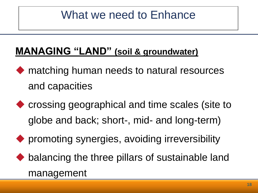### What we need to Enhance

### **MANAGING "LAND" (soil & groundwater)**

- ◆ matching human needs to natural resources and capacities
- ◆ crossing geographical and time scales (site to globe and back; short-, mid- and long-term)
- ◆ promoting synergies, avoiding irreversibility
- ◆ balancing the three pillars of sustainable land management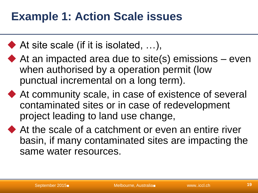### **Example 1: Action Scale issues**

- $\blacklozenge$  At site scale (if it is isolated, ...),
- $\blacklozenge$  At an impacted area due to site(s) emissions even when authorised by a operation permit (low punctual incremental on a long term).
- ◆ At community scale, in case of existence of several contaminated sites or in case of redevelopment project leading to land use change,
- At the scale of a catchment or even an entire river basin, if many contaminated sites are impacting the same water resources.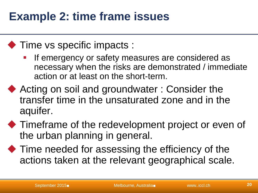### **Example 2: time frame issues**

#### ◆ Time vs specific impacts :

- If emergency or safety measures are considered as necessary when the risks are demonstrated / immediate action or at least on the short-term.
- ◆ Acting on soil and groundwater : Consider the transfer time in the unsaturated zone and in the aquifer.
- $\blacklozenge$  Timeframe of the redevelopment project or even of the urban planning in general.
- $\blacklozenge$  Time needed for assessing the efficiency of the actions taken at the relevant geographical scale.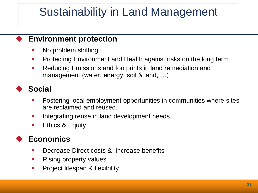### Sustainability in Land Management

#### **Environment protection**

- No problem shifting
- **Protecting Environment and Health against risks on the long term**
- **Reducing Emissions and footprints in land remediation and** management (water, energy, soil & land, ...)

#### **Social**

- Fostering local employment opportunities in communities where sites are reclaimed and reused.
- **Integrating reuse in land development needs**
- **Ethics & Equity**

#### **Economics**

- **Decrease Direct costs & Increase benefits**
- **Rising property values**
- **Project lifespan & flexibility**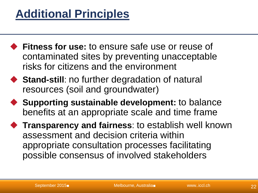### **Additional Principles**

- **Fitness for use:** to ensure safe use or reuse of contaminated sites by preventing unacceptable risks for citizens and the environment
- ◆ Stand-still: no further degradation of natural resources (soil and groundwater)
- ◆ Supporting sustainable development: to balance benefits at an appropriate scale and time frame
- **Transparency and fairness**: to establish well known assessment and decision criteria within appropriate consultation processes facilitating possible consensus of involved stakeholders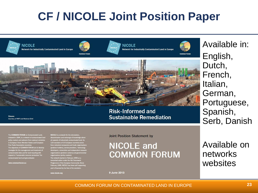### **CF / NICOLE Joint Position Paper**



**Risk-Informed and Sustainable Remediation** 

Pictures **Courtesy of WSP and National Grid** 

The COMMON FORUM on Contern land and en

ww.commonforum.eu

e of the European Community. S February 1999, NICOLE has been self supporting and is financed by the fees of its members.

www.nicole.org

#### **Joint Position Statement by**

#### **NICOLE and COMMON FORUM**

9 June 2013

Available in: English, Dutch, French, Italian, German, Portuguese, Spanish, Serb, Danish

Available on networks websites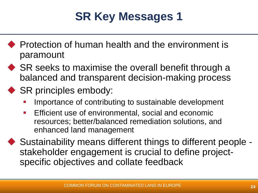# **SR Key Messages 1**

- ◆ Protection of human health and the environment is paramount
- ◆ SR seeks to maximise the overall benefit through a balanced and transparent decision-making process

#### ◆ SR principles embody:

- Importance of contributing to sustainable development
- Efficient use of environmental, social and economic resources; better/balanced remediation solutions, and enhanced land management
- ◆ Sustainability means different things to different people stakeholder engagement is crucial to define projectspecific objectives and collate feedback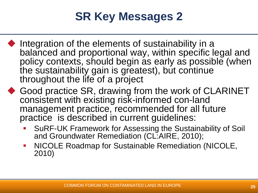# **SR Key Messages 2**

- Integration of the elements of sustainability in a balanced and proportional way, within specific legal and policy contexts, should begin as early as possible (when the sustainability gain is greatest), but continue throughout the life of a project
- Good practice SR, drawing from the work of CLARINET consistent with existing risk-informed con-land management practice, recommended for all future practice is described in current guidelines:
	- **SURF-UK Framework for Assessing the Sustainability of Soil** and Groundwater Remediation (CL:AIRE, 2010);
	- NICOLE Roadmap for Sustainable Remediation (NICOLE, 2010)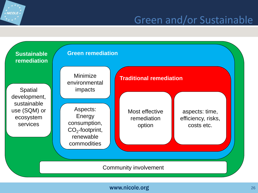### Green and/or Sustainable



 $\hat{*}$  NICOLE  $\hat{*}$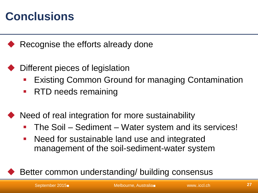### **Conclusions**

Recognise the efforts already done

- Different pieces of legislation
	- Existing Common Ground for managing Contamination
	- **RTD needs remaining**
- Need of real integration for more sustainability
	- The Soil Sediment Water system and its services!
	- **Need for sustainable land use and integrated** management of the soil-sediment-water system

Better common understanding/ building consensus